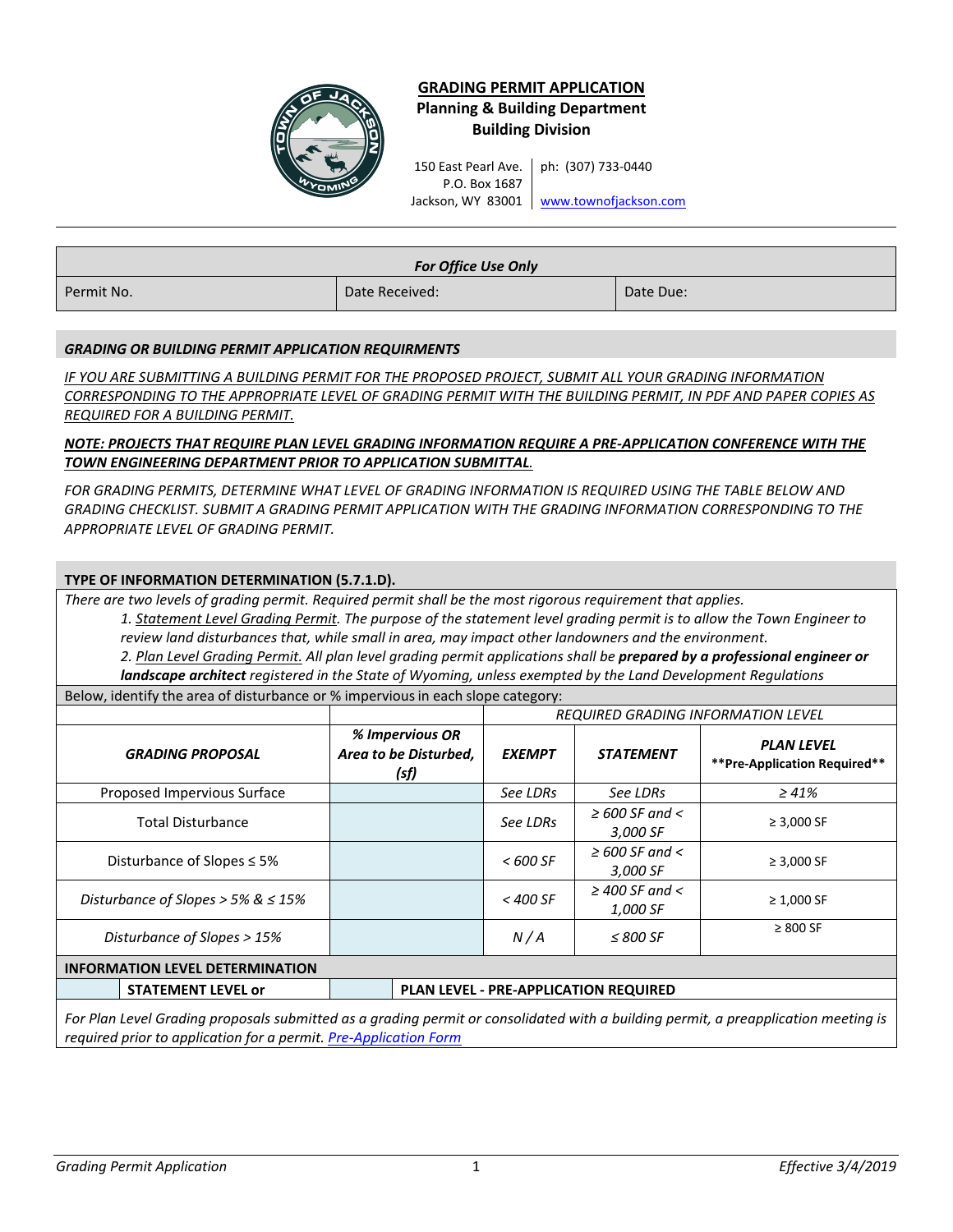

# **GRADING PERMIT APPLICATION Planning & Building Department Building Division**

150 East Pearl Ave. P.O. Box 1687 Jackson, WY 83001 | <u>[www.townofjac](http://www.townofjackson.com/)kson.com</u> ph: (307) 733-0440

| <b>For Office Use Only</b> |                |           |  |
|----------------------------|----------------|-----------|--|
| Permit No.                 | Date Received: | Date Due: |  |

## *GRADING OR BUILDING PERMIT APPLICATION REQUIRMENTS*

*IF YOU ARE SUBMITTING A BUILDING PERMIT FOR THE PROPOSED PROJECT, SUBMIT ALL YOUR GRADING INFORMATION CORRESPONDING TO THE APPROPRIATE LEVEL OF GRADING PERMIT WITH THE BUILDING PERMIT, IN PDF AND PAPER COPIES AS REQUIRED FOR A BUILDING PERMIT.*

## *NOTE: PROJECTS THAT REQUIRE PLAN LEVEL GRADING INFORMATION REQUIRE A PRE-APPLICATION CONFERENCE WITH THE TOWN ENGINEERING DEPARTMENT PRIOR TO APPLICATION SUBMITTAL.*

FOR GRADING PERMITS, DETERMINE WHAT LEVEL OF GRADING INFORMATION IS REQUIRED USING THE TABLE BELOW AND *GRADING CHECKLIST. SUBMIT A GRADING PERMIT APPLICATION WITH THE GRADING INFORMATION CORRESPONDING TO THE APPROPRIATE LEVEL OF GRADING PERMIT.*

## **TYPE OF INFORMATION DETERMINATION (5.7.1.D).**

*There are two levels of grading permit. Required permit shall be the most rigorous requirement that applies.*

*1. Statement Level Grading Permit. The purpose of the statement level grading permit is to allow the Town Engineer to review land disturbances that, while small in area, may impact other landowners and the environment.*

*2. Plan Level Grading Permit. All plan level grading permit applications shall be prepared by a professional engineer or landscape architect registered in the State of Wyoming, unless exempted by the Land Development Regulations*

Below, identify the area of disturbance or % impervious in each slope category:

|                                         |                                                  | <b>REQUIRED GRADING INFORMATION LEVEL</b> |                                              |                                                   |
|-----------------------------------------|--------------------------------------------------|-------------------------------------------|----------------------------------------------|---------------------------------------------------|
| <b>GRADING PROPOSAL</b>                 | % Impervious OR<br>Area to be Disturbed,<br>(sf) | <b>EXEMPT</b>                             | <b>STATEMENT</b>                             | <b>PLAN LEVEL</b><br>**Pre-Application Required** |
| Proposed Impervious Surface             |                                                  | See LDRs                                  | See LDRs                                     | $\geq 41\%$                                       |
| <b>Total Disturbance</b>                |                                                  | See LDRs                                  | $\geq$ 600 SF and $\lt$<br>3,000 SF          | $\geq 3,000$ SF                                   |
| Disturbance of Slopes $\leq$ 5%         |                                                  | $< 600$ SF                                | $\geq$ 600 SF and $\lt$<br>3,000 SF          | $\geq 3,000$ SF                                   |
| Disturbance of Slopes > 5% & $\leq$ 15% |                                                  | $<$ 400 SF                                | $\geq$ 400 SF and $\lt$<br>1,000 SF          | $\geq 1,000$ SF                                   |
| Disturbance of Slopes > 15%             |                                                  | N/A                                       | $\leq$ 800 SF                                | $\geq 800$ SF                                     |
| <b>INFORMATION LEVEL DETERMINATION</b>  |                                                  |                                           |                                              |                                                   |
| <b>STATEMENT LEVEL or</b>               |                                                  |                                           | <b>PLAN LEVEL - PRE-APPLICATION REQUIRED</b> |                                                   |
|                                         |                                                  |                                           |                                              |                                                   |

*For Plan Level Grading proposals submitted as a grading permit or consolidated with a building permit, a preapplication meeting is required prior to application for a permit. [Pre-Application Form](http://townofjackson.com/DocumentCenter/View/184/Pre-Application-Conference-Request-Form-PDF)*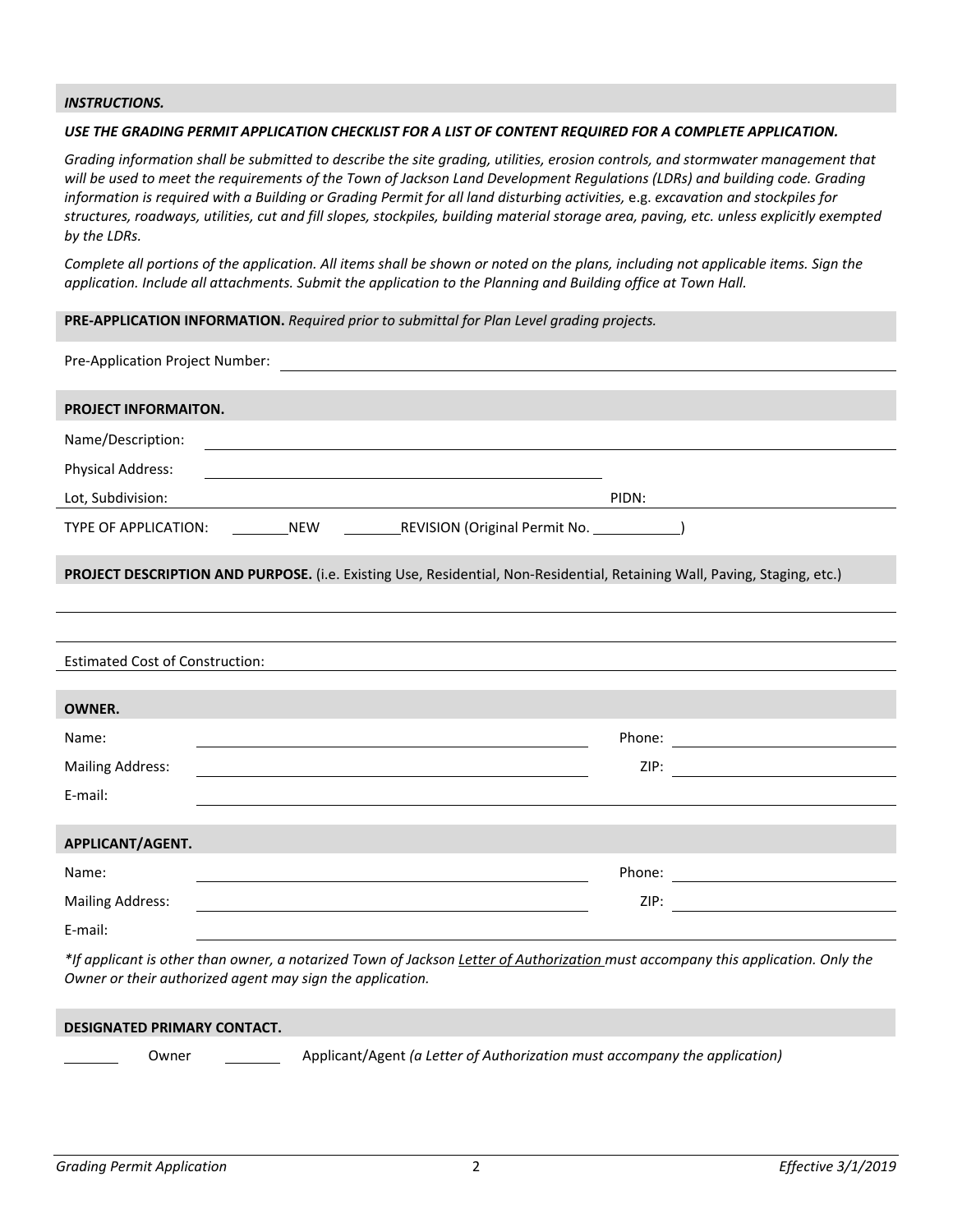### *INSTRUCTIONS.*

#### *USE THE GRADING PERMIT APPLICATION CHECKLIST FOR A LIST OF CONTENT REQUIRED FOR A COMPLETE APPLICATION.*

*Grading information shall be submitted to describe the site grading, utilities, erosion controls, and stormwater management that will be used to meet the requirements of the Town of Jackson Land Development Regulations (LDRs) and building code. Grading information is required with a Building or Grading Permit for all land disturbing activities, e.g. excavation and stockpiles for structures, roadways, utilities, cut and fill slopes, stockpiles, building material storage area, paving, etc. unless explicitly exempted by the LDRs.*

*Complete all portions of the application. All items shall be shown or noted on the plans, including not applicable items. Sign the application. Include all attachments. Submit the application to the Planning and Building office at Town Hall.*

**PRE-APPLICATION INFORMATION.** *Required prior to submittal for Plan Level grading projects.*

| PROJECT INFORMAITON.                                                                                                                                                                                                                   |       |
|----------------------------------------------------------------------------------------------------------------------------------------------------------------------------------------------------------------------------------------|-------|
| Name/Description:                                                                                                                                                                                                                      |       |
| <b>Physical Address:</b><br><u> 1989 - Johann Barbara, martxa alemaniar amerikan a</u>                                                                                                                                                 |       |
| Lot, Subdivision:                                                                                                                                                                                                                      | PIDN: |
| TYPE OF APPLICATION: NEW REVISION (Original Permit No. 2008)                                                                                                                                                                           |       |
| PROJECT DESCRIPTION AND PURPOSE. (i.e. Existing Use, Residential, Non-Residential, Retaining Wall, Paving, Staging, etc.)                                                                                                              |       |
|                                                                                                                                                                                                                                        |       |
|                                                                                                                                                                                                                                        |       |
| <b>Estimated Cost of Construction:</b><br><u> 1989 - Johann Stein, mars an de Frankrik en de Frankrik en de Frankrik en de Frankrik en de Frankrik en de F</u>                                                                         |       |
|                                                                                                                                                                                                                                        |       |
| <b>OWNER.</b>                                                                                                                                                                                                                          |       |
| Name:                                                                                                                                                                                                                                  |       |
| <b>Mailing Address:</b>                                                                                                                                                                                                                |       |
| E-mail:                                                                                                                                                                                                                                |       |
|                                                                                                                                                                                                                                        |       |
| APPLICANT/AGENT.                                                                                                                                                                                                                       |       |
| Name:<br>the control of the control of the control of the control of the control of the control of the control of the control of the control of the control of the control of the control of the control of the control of the control |       |
| <b>Mailing Address:</b><br><u> 1980 - Johann Barn, amerikansk politiker (* 1908)</u>                                                                                                                                                   |       |
| E-mail:                                                                                                                                                                                                                                |       |
| $\star$ if another order than the company of the set of the first order of the latential contract of the company of the set of the set of $\Delta$ definition $\Delta$                                                                 |       |

*\*If applicant is other than owner, a notarized Town of Jackson Letter of Authorization must accompany this application. Only the Owner or their authorized agent may sign the application.*

| <b>DESIGNATED PRIMARY CONTACT.</b> |       |                                                                            |
|------------------------------------|-------|----------------------------------------------------------------------------|
|                                    | Owner | Applicant/Agent (a Letter of Authorization must accompany the application) |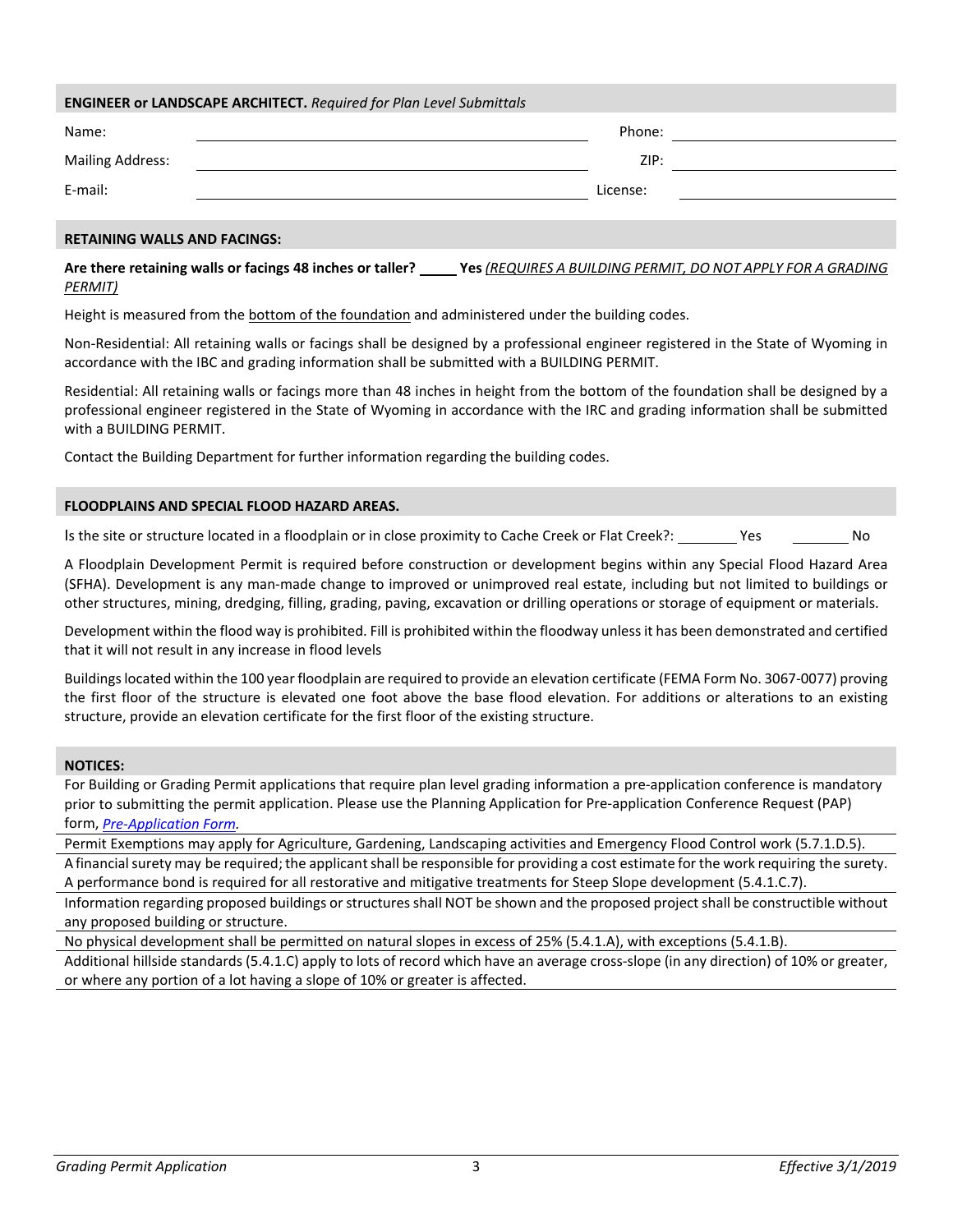| <b>ENGINEER or LANDSCAPE ARCHITECT.</b> Required for Plan Level Submittals |          |  |  |  |  |
|----------------------------------------------------------------------------|----------|--|--|--|--|
| Name:                                                                      | Phone:   |  |  |  |  |
| <b>Mailing Address:</b>                                                    | ZIP:     |  |  |  |  |
| E-mail:                                                                    | License: |  |  |  |  |
|                                                                            |          |  |  |  |  |
| <b>BEE AIRIIRIA 11/411 A.A.IB. E.A.IB.A.A.</b>                             |          |  |  |  |  |

### **RETAINING WALLS AND FACINGS:**

**Are there retaining walls or facings 48 inches or taller? Yes** *(REQUIRES A BUILDING PERMIT, DO NOT APPLY FOR A GRADING PERMIT)*

Height is measured from the bottom of the foundation and administered under the building codes.

Non-Residential: All retaining walls or facings shall be designed by a professional engineer registered in the State of Wyoming in accordance with the IBC and grading information shall be submitted with a BUILDING PERMIT.

Residential: All retaining walls or facings more than 48 inches in height from the bottom of the foundation shall be designed by a professional engineer registered in the State of Wyoming in accordance with the IRC and grading information shall be submitted with a BUILDING PERMIT.

Contact the Building Department for further information regarding the building codes.

#### **FLOODPLAINS AND SPECIAL FLOOD HAZARD AREAS.**

Is the site or structure located in a floodplain or in close proximity to Cache Creek or Flat Creek?: Ves Montes No

A Floodplain Development Permit is required before construction or development begins within any Special Flood Hazard Area (SFHA). Development is any man-made change to improved or unimproved real estate, including but not limited to buildings or other structures, mining, dredging, filling, grading, paving, excavation or drilling operations or storage of equipment or materials.

Development within the flood way is prohibited. Fill is prohibited within the floodway unless it has been demonstrated and certified that it will not result in any increase in flood levels

Buildings located within the 100 year floodplain are required to provide an elevation certificate (FEMA Form No. 3067-0077) proving the first floor of the structure is elevated one foot above the base flood elevation. For additions or alterations to an existing structure, provide an elevation certificate for the first floor of the existing structure.

### **NOTICES:**

For Building or Grading Permit applications that require plan level grading information a pre-application conference is mandatory prior to submitting the permit application. Please use the Planning Application for Pre-application Conference Request (PAP) form, *[Pre-Application Form.](http://townofjackson.com/DocumentCenter/View/184/Pre-Application-Conference-Request-Form-PDF)*

Permit Exemptions may apply for Agriculture, Gardening, Landscaping activities and Emergency Flood Control work (5.7.1.D.5). A financial surety may be required; the applicant shall be responsible for providing a cost estimate for the work requiring the surety. A performance bond is required for all restorative and mitigative treatments for Steep Slope development (5.4.1.C.7).

Information regarding proposed buildings or structures shall NOT be shown and the proposed project shall be constructible without any proposed building or structure.

No physical development shall be permitted on natural slopes in excess of 25% (5.4.1.A), with exceptions (5.4.1.B).

Additional hillside standards (5.4.1.C) apply to lots of record which have an average cross-slope (in any direction) of 10% or greater, or where any portion of a lot having a slope of 10% or greater is affected.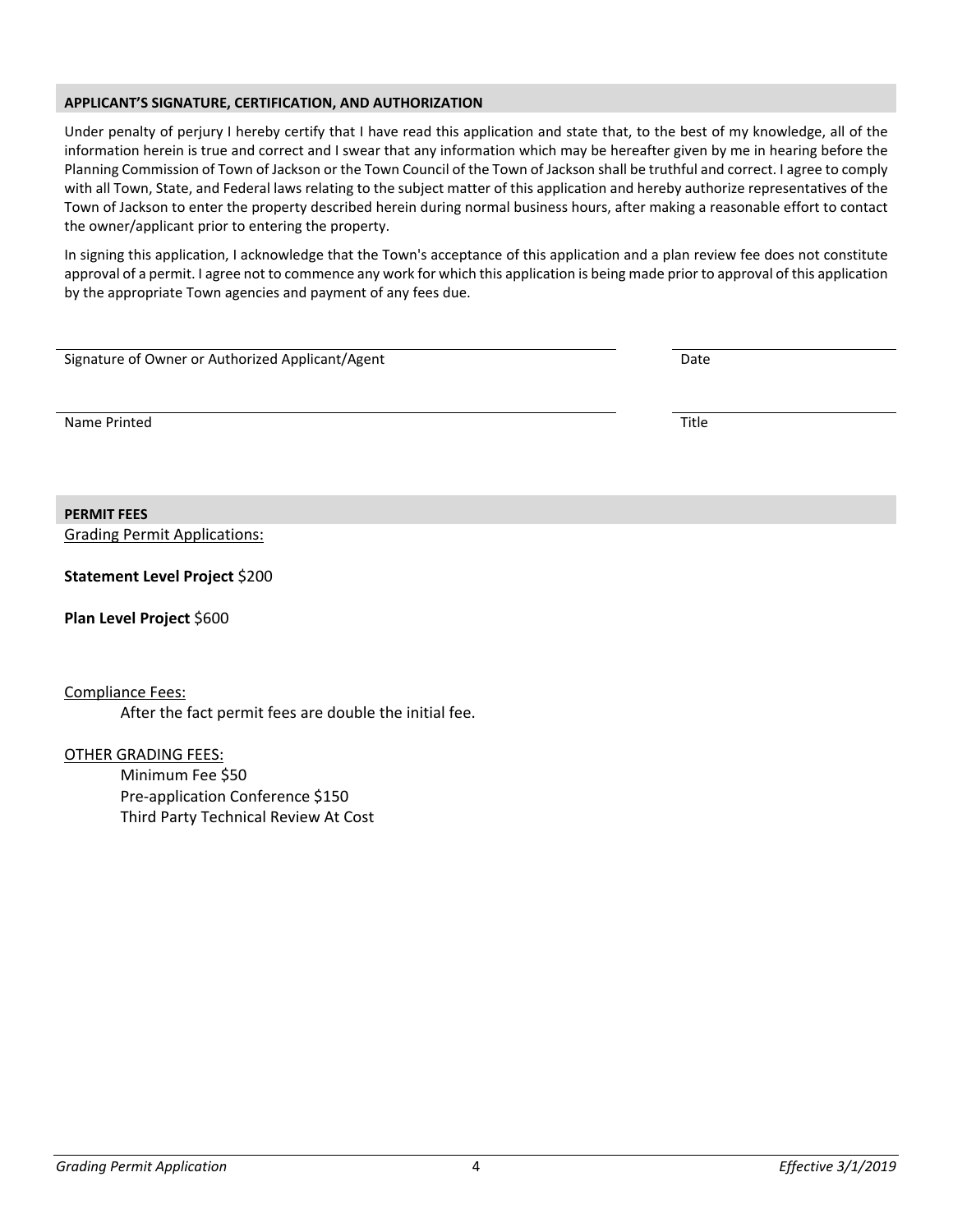### **APPLICANT'S SIGNATURE, CERTIFICATION, AND AUTHORIZATION**

Under penalty of perjury I hereby certify that I have read this application and state that, to the best of my knowledge, all of the information herein is true and correct and I swear that any information which may be hereafter given by me in hearing before the Planning Commission of Town of Jackson or the Town Council of the Town of Jackson shall be truthful and correct. I agree to comply with all Town, State, and Federal laws relating to the subject matter of this application and hereby authorize representatives of the Town of Jackson to enter the property described herein during normal business hours, after making a reasonable effort to contact the owner/applicant prior to entering the property.

In signing this application, I acknowledge that the Town's acceptance of this application and a plan review fee does not constitute approval of a permit. I agree not to commence any work for which this application is being made prior to approval of this application by the appropriate Town agencies and payment of any fees due.

| Signature of Owner or Authorized Applicant/Agent | Date  |
|--------------------------------------------------|-------|
|                                                  |       |
| Name Printed                                     | Title |
|                                                  |       |
|                                                  |       |
| <b>PERMIT FEES</b>                               |       |
| <b>Grading Permit Applications:</b>              |       |

**Statement Level Project** \$200

**Plan Level Project** \$600

Compliance Fees:

After the fact permit fees are double the initial fee.

OTHER GRADING FEES:

Minimum Fee \$50 Pre-application Conference \$150 Third Party Technical Review At Cost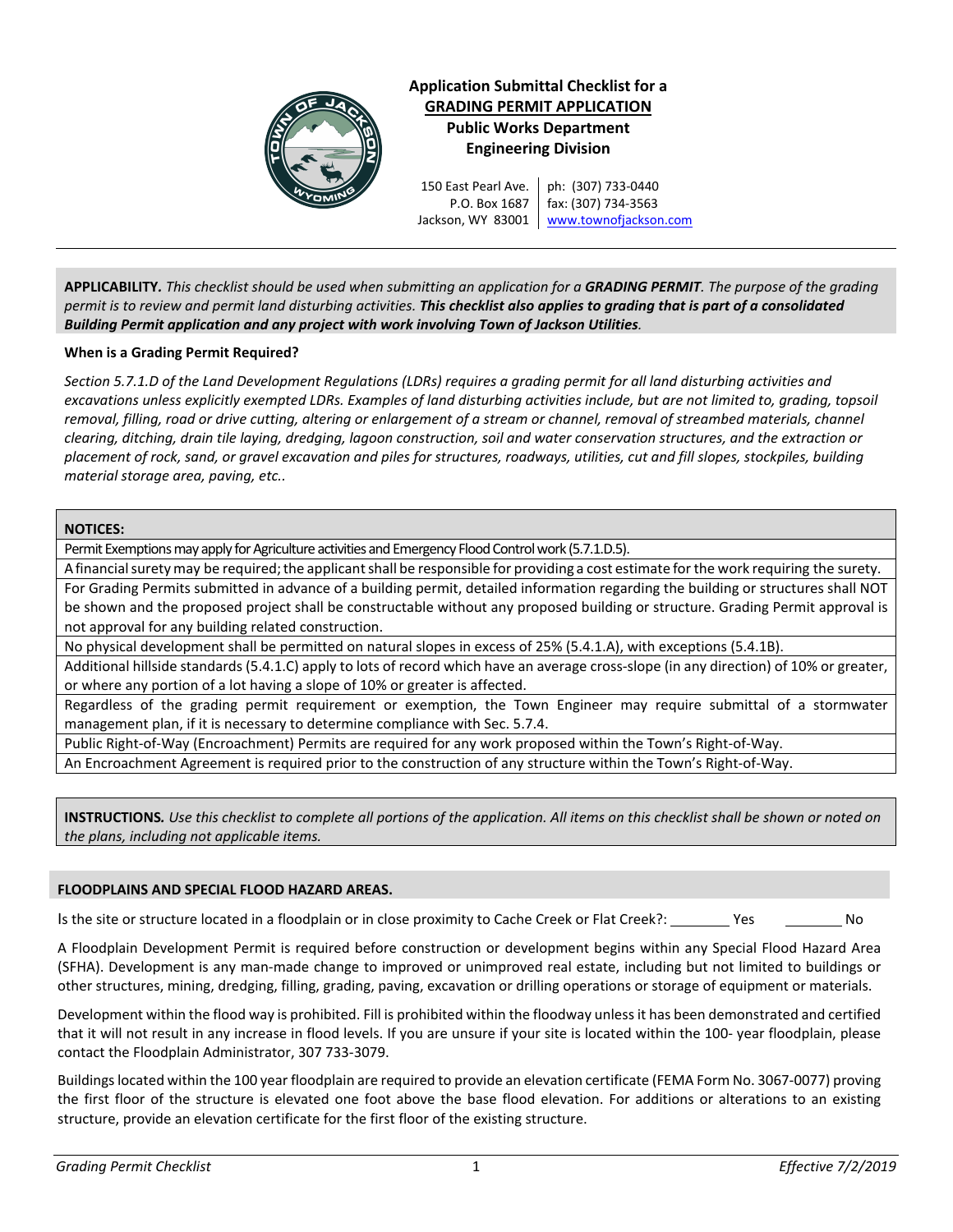

**Application Submittal Checklist for a GRADING PERMIT APPLICATION Public Works Department Engineering Division**

150 East Pearl Ave. P.O. Box 1687 Jackson, WY 83001 ph: (307) 733-0440 fax: (307) 734-3563 [www.townofja](http://www.townofjackson.com/)ckson.com

**APPLICABILITY***. This checklist should be used when submitting an application for a GRADING PERMIT. The purpose of the grading permit is to review and permit land disturbing activities. This checklist also applies to grading that is part of a consolidated Building Permit application and any project with work involving Town of Jackson Utilities.*

## **When is a Grading Permit Required?**

*Section 5.7.1.D of the Land Development Regulations (LDRs) requires a grading permit for all land disturbing activities and excavations unless explicitly exempted LDRs. Examples of land disturbing activities include, but are not limited to, grading, topsoil removal, filling, road or drive cutting, altering or enlargement of a stream or channel, removal of streambed materials, channel clearing, ditching, drain tile laying, dredging, lagoon construction, soil and water conservation structures, and the extraction or placement of rock, sand, or gravel excavation and piles for structures, roadways, utilities, cut and fill slopes, stockpiles, building material storage area, paving, etc..* 

## **NOTICES:**

Permit Exemptions may apply for Agriculture activities and Emergency Flood Control work (5.7.1.D.5).

A financial surety may be required; the applicant shall be responsible for providing a cost estimate for the work requiring the surety.

For Grading Permits submitted in advance of a building permit, detailed information regarding the building or structures shall NOT be shown and the proposed project shall be constructable without any proposed building or structure. Grading Permit approval is not approval for any building related construction.

No physical development shall be permitted on natural slopes in excess of 25% (5.4.1.A), with exceptions (5.4.1B).

Additional hillside standards (5.4.1.C) apply to lots of record which have an average cross-slope (in any direction) of 10% or greater, or where any portion of a lot having a slope of 10% or greater is affected.

Regardless of the grading permit requirement or exemption, the Town Engineer may require submittal of a stormwater management plan, if it is necessary to determine compliance with Sec. 5.7.4.

Public Right-of-Way (Encroachment) Permits are required for any work proposed within the Town's Right-of-Way.

An Encroachment Agreement is required prior to the construction of any structure within the Town's Right-of-Way.

**INSTRUCTIONS***. Use this checklist to complete all portions of the application. All items on this checklist shall be shown or noted on the plans, including not applicable items.* 

# **FLOODPLAINS AND SPECIAL FLOOD HAZARD AREAS.**

Is the site or structure located in a floodplain or in close proximity to Cache Creek or Flat Creek?: Yes No

A Floodplain Development Permit is required before construction or development begins within any Special Flood Hazard Area (SFHA). Development is any man-made change to improved or unimproved real estate, including but not limited to buildings or other structures, mining, dredging, filling, grading, paving, excavation or drilling operations or storage of equipment or materials.

Development within the flood way is prohibited. Fill is prohibited within the floodway unless it has been demonstrated and certified that it will not result in any increase in flood levels. If you are unsure if your site is located within the 100- year floodplain, please contact the Floodplain Administrator, 307 733-3079.

Buildings located within the 100 year floodplain are required to provide an elevation certificate (FEMA Form No. 3067-0077) proving the first floor of the structure is elevated one foot above the base flood elevation. For additions or alterations to an existing structure, provide an elevation certificate for the first floor of the existing structure.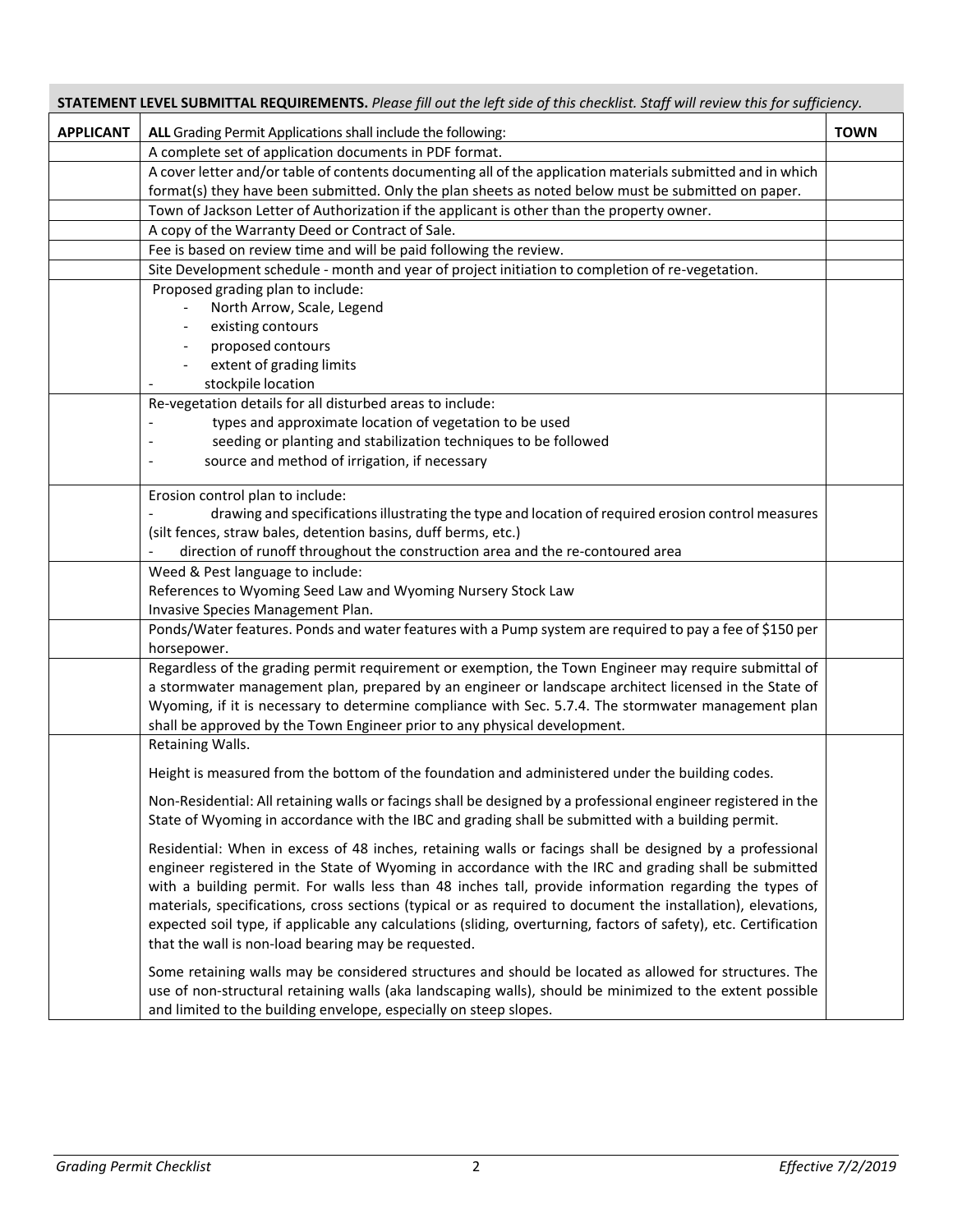| STATEMENT LEVEL SUBMITTAL REQUIREMENTS. Please fill out the left side of this checklist. Staff will review this for sufficiency. |                                                                                                                                                                                                                     |             |  |  |  |
|----------------------------------------------------------------------------------------------------------------------------------|---------------------------------------------------------------------------------------------------------------------------------------------------------------------------------------------------------------------|-------------|--|--|--|
| <b>APPLICANT</b>                                                                                                                 | ALL Grading Permit Applications shall include the following:                                                                                                                                                        | <b>TOWN</b> |  |  |  |
|                                                                                                                                  | A complete set of application documents in PDF format.                                                                                                                                                              |             |  |  |  |
|                                                                                                                                  | A cover letter and/or table of contents documenting all of the application materials submitted and in which                                                                                                         |             |  |  |  |
|                                                                                                                                  | format(s) they have been submitted. Only the plan sheets as noted below must be submitted on paper.                                                                                                                 |             |  |  |  |
|                                                                                                                                  | Town of Jackson Letter of Authorization if the applicant is other than the property owner.                                                                                                                          |             |  |  |  |
|                                                                                                                                  | A copy of the Warranty Deed or Contract of Sale.                                                                                                                                                                    |             |  |  |  |
|                                                                                                                                  | Fee is based on review time and will be paid following the review.                                                                                                                                                  |             |  |  |  |
|                                                                                                                                  | Site Development schedule - month and year of project initiation to completion of re-vegetation.                                                                                                                    |             |  |  |  |
|                                                                                                                                  | Proposed grading plan to include:                                                                                                                                                                                   |             |  |  |  |
|                                                                                                                                  | North Arrow, Scale, Legend                                                                                                                                                                                          |             |  |  |  |
|                                                                                                                                  | existing contours                                                                                                                                                                                                   |             |  |  |  |
|                                                                                                                                  | proposed contours                                                                                                                                                                                                   |             |  |  |  |
|                                                                                                                                  | extent of grading limits<br>stockpile location                                                                                                                                                                      |             |  |  |  |
|                                                                                                                                  | Re-vegetation details for all disturbed areas to include:                                                                                                                                                           |             |  |  |  |
|                                                                                                                                  | types and approximate location of vegetation to be used                                                                                                                                                             |             |  |  |  |
|                                                                                                                                  | seeding or planting and stabilization techniques to be followed                                                                                                                                                     |             |  |  |  |
|                                                                                                                                  | source and method of irrigation, if necessary                                                                                                                                                                       |             |  |  |  |
|                                                                                                                                  |                                                                                                                                                                                                                     |             |  |  |  |
|                                                                                                                                  | Erosion control plan to include:                                                                                                                                                                                    |             |  |  |  |
|                                                                                                                                  | drawing and specifications illustrating the type and location of required erosion control measures                                                                                                                  |             |  |  |  |
|                                                                                                                                  | (silt fences, straw bales, detention basins, duff berms, etc.)                                                                                                                                                      |             |  |  |  |
|                                                                                                                                  | direction of runoff throughout the construction area and the re-contoured area                                                                                                                                      |             |  |  |  |
|                                                                                                                                  | Weed & Pest language to include:                                                                                                                                                                                    |             |  |  |  |
|                                                                                                                                  | References to Wyoming Seed Law and Wyoming Nursery Stock Law                                                                                                                                                        |             |  |  |  |
|                                                                                                                                  | Invasive Species Management Plan.                                                                                                                                                                                   |             |  |  |  |
|                                                                                                                                  | Ponds/Water features. Ponds and water features with a Pump system are required to pay a fee of \$150 per                                                                                                            |             |  |  |  |
|                                                                                                                                  | horsepower.                                                                                                                                                                                                         |             |  |  |  |
|                                                                                                                                  | Regardless of the grading permit requirement or exemption, the Town Engineer may require submittal of<br>a stormwater management plan, prepared by an engineer or landscape architect licensed in the State of      |             |  |  |  |
|                                                                                                                                  | Wyoming, if it is necessary to determine compliance with Sec. 5.7.4. The stormwater management plan                                                                                                                 |             |  |  |  |
|                                                                                                                                  | shall be approved by the Town Engineer prior to any physical development.                                                                                                                                           |             |  |  |  |
|                                                                                                                                  | Retaining Walls.                                                                                                                                                                                                    |             |  |  |  |
|                                                                                                                                  |                                                                                                                                                                                                                     |             |  |  |  |
|                                                                                                                                  | Height is measured from the bottom of the foundation and administered under the building codes.                                                                                                                     |             |  |  |  |
|                                                                                                                                  | Non-Residential: All retaining walls or facings shall be designed by a professional engineer registered in the                                                                                                      |             |  |  |  |
|                                                                                                                                  | State of Wyoming in accordance with the IBC and grading shall be submitted with a building permit.                                                                                                                  |             |  |  |  |
|                                                                                                                                  | Residential: When in excess of 48 inches, retaining walls or facings shall be designed by a professional                                                                                                            |             |  |  |  |
|                                                                                                                                  | engineer registered in the State of Wyoming in accordance with the IRC and grading shall be submitted                                                                                                               |             |  |  |  |
|                                                                                                                                  | with a building permit. For walls less than 48 inches tall, provide information regarding the types of                                                                                                              |             |  |  |  |
|                                                                                                                                  | materials, specifications, cross sections (typical or as required to document the installation), elevations,                                                                                                        |             |  |  |  |
|                                                                                                                                  | expected soil type, if applicable any calculations (sliding, overturning, factors of safety), etc. Certification                                                                                                    |             |  |  |  |
|                                                                                                                                  | that the wall is non-load bearing may be requested.                                                                                                                                                                 |             |  |  |  |
|                                                                                                                                  |                                                                                                                                                                                                                     |             |  |  |  |
|                                                                                                                                  | Some retaining walls may be considered structures and should be located as allowed for structures. The<br>use of non-structural retaining walls (aka landscaping walls), should be minimized to the extent possible |             |  |  |  |
|                                                                                                                                  | and limited to the building envelope, especially on steep slopes.                                                                                                                                                   |             |  |  |  |